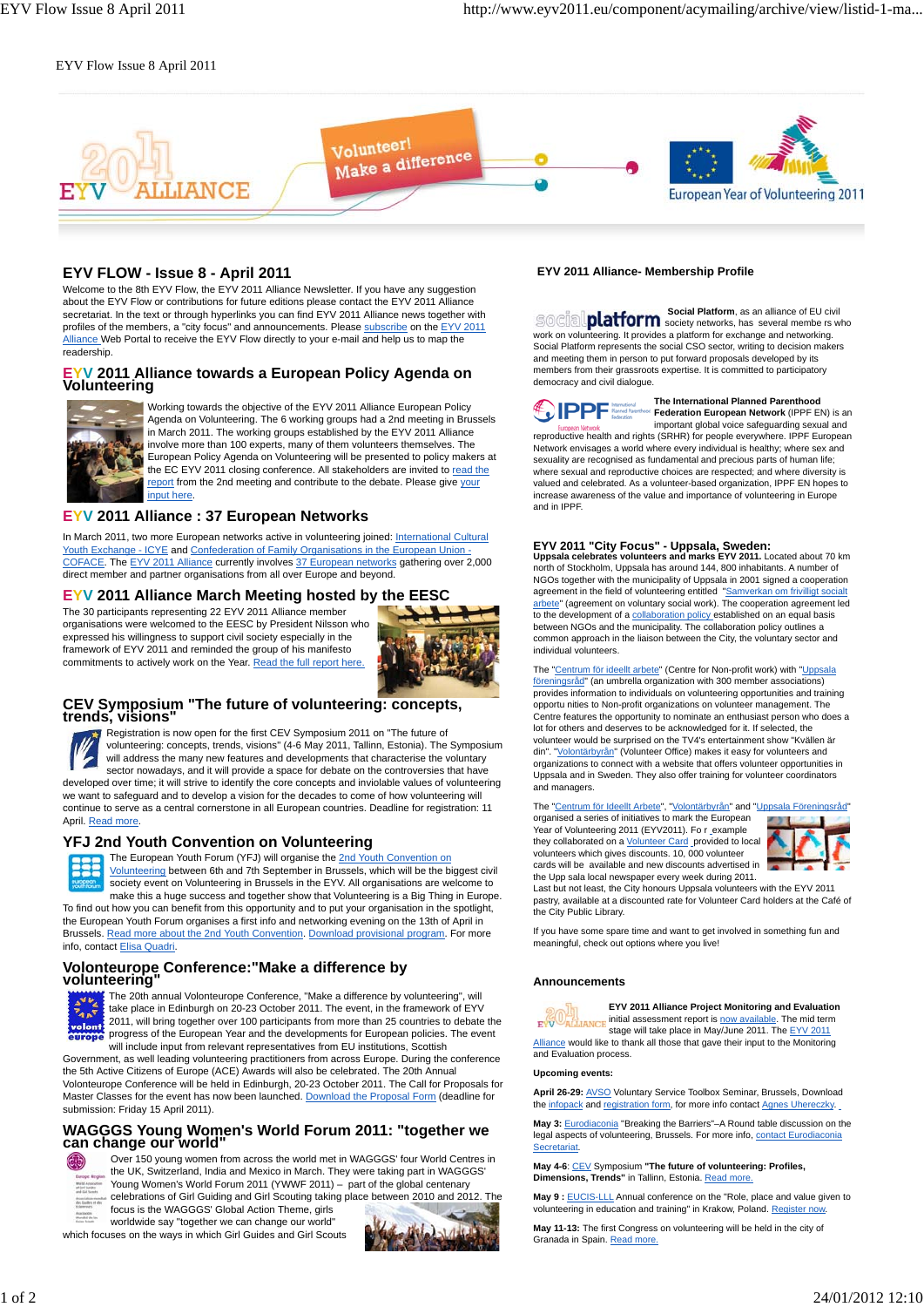### EYV Flow Issue 8 April 2011



## **EYV FLOW - Issue 8 - April 2011**

Welcome to the 8th EYV Flow, the EYV 2011 Alliance Newsletter. If you have any suggestion about the EYV Flow or contributions for future editions please contact the EYV 2011 Alliance secretariat. In the text or through hyperlinks you can find EYV 2011 Alliance news together with profiles of the members, a "city focus" and announcements. Please subscribe on the EYV 2011 Alliance Web Portal to receive the EYV Flow directly to your e-mail and help us to map the readership.

# **EYV 2011 Alliance towards a European Policy Agenda on Volunteering**



Working towards the objective of the EYV 2011 Alliance European Policy Agenda on Volunteering. The 6 working groups had a 2nd meeting in Brussels in March 2011. The working groups established by the EYV 2011 Alliance involve more than 100 experts, many of them volunteers themselves. The European Policy Agenda on Volunteering will be presented to policy makers at the EC EYV 2011 closing conference. All stakeholders are invited to read the report from the 2nd meeting and contribute to the debate. Please give your input here.

## **EYV 2011 Alliance : 37 European Networks**

In March 2011, two more European networks active in volunteering joined: International Cultural Youth Exchange - ICYE and Confederation of Family Organisations in the European Union -COFACE. The EYV 2011 Alliance currently involves 37 European networks gathering over 2,000 direct member and partner organisations from all over Europe and beyond.

### **EYV 2011 Alliance March Meeting hosted by the EESC**

The 30 participants representing 22 EYV 2011 Alliance member organisations were welcomed to the EESC by President Nilsson who expressed his willingness to support civil society especially in the framework of EYV 2011 and reminded the group of his manifesto commitments to actively work on the Year. Read the full report here.



## **CEV Symposium "The future of volunteering: concepts, trends, visions"**

Registration is now open for the first CEV Symposium 2011 on "The future of volunteering: concepts, trends, visions" (4-6 May 2011, Tallinn, Estonia). The Symposium will address the many new features and developments that characterise the voluntary sector nowadays, and it will provide a space for debate on the controversies that have developed over time; it will strive to identify the core concepts and inviolable values of volunteering we want to safeguard and to develop a vision for the decades to come of how volunteering will continue to serve as a central cornerstone in all European countries. Deadline for registration: 11 April. Read more.

### **YFJ 2nd Youth Convention on Volunteering**



The European Youth Forum (YFJ) will organise the 2nd Youth Convention on Volunteering between 6th and 7th September in Brussels, which will be the biggest civil society event on Volunteering in Brussels in the EYV. All organisations are welcome to make this a huge success and together show that Volunteering is a Big Thing in Europe. To find out how you can benefit from this opportunity and to put your organisation in the spotlight,

the European Youth Forum organises a first info and networking evening on the 13th of April in Brussels. Read more about the 2nd Youth Convention. Download provisional program. For more info, contact Elisa Quadri.

## **Volonteurope Conference:"Make a difference by volunteering"**



The 20th annual Volonteurope Conference, "Make a difference by volunteering", will take place in Edinburgh on 20-23 October 2011. The event, in the framework of EYV 2011, will bring together over 100 participants from more than 25 countries to debate the progress of the European Year and the developments for European policies. The event will include input from relevant representatives from EU institutions, Scottish

Government, as well leading volunteering practitioners from across Europe. During the conference the 5th Active Citizens of Europe (ACE) Awards will also be celebrated. The 20th Annual Volonteurope Conference will be held in Edinburgh, 20-23 October 2011. The Call for Proposals for Master Classes for the event has now been launched. Download the Proposal Form (deadline for submission: Friday 15 April 2011).

## **WAGGGS Young Women's World Forum 2011: "together we can change our world"**



Over 150 young women from across the world met in WAGGGS' four World Centres in the UK, Switzerland, India and Mexico in March. They were taking part in WAGGGS' Young Women's World Forum 2011 (YWWF 2011) – part of the global centenary celebrations of Girl Guiding and Girl Scouting taking place between 2010 and 2012. The

focus is the WAGGGS' Global Action Theme, girls worldwide say "together we can change our world" which focuses on the ways in which Girl Guides and Girl Scouts

## **EYV 2011 Alliance- Membership Profile**

**Social Platform**, as an alliance of EU civil society networks, has several membe rs who social work on volunteering. It provides a platform for exchange and networking. Social Platform represents the social CSO sector, writing to decision makers and meeting them in person to put forward proposals developed by its members from their grassroots expertise. It is committed to participatory democracy and civil dialogue.

## **DPPF** Rancel P

**Federation European Network** (IPPF EN) is an European Network important global voice safeguarding sexual and<br>reproductive health and rights (SRHR) for people everywhere. IPPF European Network envisages a world where every individual is healthy; where sex and sexuality are recognised as fundamental and precious parts of human life; where sexual and reproductive choices are respected; and where diversity is valued and celebrated. As a volunteer-based organization, IPPF EN hopes to increase awareness of the value and importance of volunteering in Europe and in IPPF.

**The International Planned Parenthood**

## **EYV 2011 "City Focus" - Uppsala, Sweden: Uppsala celebrates volunteers and marks EYV 2011.** Located about 70 km

north of Stockholm, Uppsala has around 144, 800 inhabitants. A number of NGOs together with the municipality of Uppsala in 2001 signed a cooperation agreement in the field of volunteering entitled "<u>Samverkan om frivilligt socialt</u><br>arbete" (agreement on voluntary social work). The cooperation agreement lec to the development of a collaboration policy established on an equal basis between NGOs and the municipality. The collaboration policy outlines a common approach in the liaison between the City, the voluntary sector and individual volunteers.

The "Centrum för ideellt arbete" (Centre for Non-profit work) with "Uppsala föreningsråd" (an umbrella organization with 300 member associations) provides information to individuals on volunteering opportunities and training opportu nities to Non-profit organizations on volunteer management. The Centre features the opportunity to nominate an enthusiast person who does a lot for others and deserves to be acknowledged for it. If selected, the volunteer would be surprised on the TV4's entertainment show "Kvällen är din". "Volontärbyrån" (Volunteer Office) makes it easy for volunteers and organizations to connect with a website that offers volunteer opportunities in Uppsala and in Sweden. They also offer training for volunteer coordinators and managers.

The "Centrum för Ideellt Arbete", "Volontärbyrån" and "Uppsala Föreningsråd" organised a series of initiatives to mark the European Year of Volunteering 2011 (EYV2011). Fo r\_example they collaborated on a Volunteer Card provided to local volunteers which gives discounts. 10, 000 volunteer cards will be available and new discounts advertised in the Upp sala local newspaper every week during 2011.



Last but not least, the City honours Uppsala volunteers with the EYV 2011 pastry, available at a discounted rate for Volunteer Card holders at the Café of the City Public Library.

If you have some spare time and want to get involved in something fun and meaningful, check out options where you live!

#### **Announcements**

**EYV 2011 Alliance Project Monitoring and Evaluation EYV** ALLIANCE initial assessment report is now available. The mid term stage will take place in May/June 2011. The EYV 2011

Alliance would like to thank all those that gave their input to the Monitoring and Evaluation process.

#### **Upcoming events:**

**April 26-29:** AVSO Voluntary Service Toolbox Seminar, Brussels, Download the infopack and registration form, for more info contact Agnes Uhereczky.

**May 3:** Eurodiaconia "Breaking the Barriers"–A Round table discussion on the legal aspects of volunteering, Brussels. For more info, contact Eurodiaconia Secretariat.

**May 4-6**: CEV Symposium **"The future of volunteering: Profiles, Dimensions, Trends"** in Tallinn, Estonia. Read more

**May 9 :** EUCIS-LLL Annual conference on the "Role, place and value given to volunteering in education and training" in Krakow, Poland. Register no

**May 11-13:** The first Congress on volunteering will be held in the city of Granada in Spain. Read more.